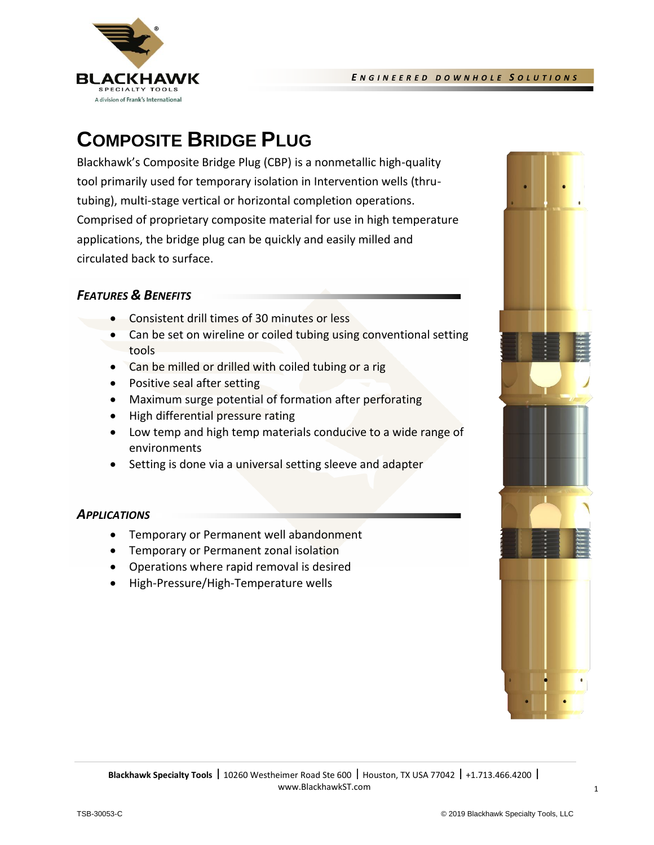

# **COMPOSITE BRIDGE PLUG**

Blackhawk's Composite Bridge Plug (CBP) is a nonmetallic high-quality tool primarily used for temporary isolation in Intervention wells (thrutubing), multi-stage vertical or horizontal completion operations. Comprised of proprietary composite material for use in high temperature applications, the bridge plug can be quickly and easily milled and circulated back to surface.

## *FEATURES & BENEFITS*

- Consistent drill times of 30 minutes or less
- Can be set on wireline or coiled tubing using conventional setting tools
- Can be milled or drilled with coiled tubing or a rig
- Positive seal after setting
- Maximum surge potential of formation after perforating
- High differential pressure rating
- Low temp and high temp materials conducive to a wide range of environments
- Setting is done via a universal setting sleeve and adapter

### *APPLICATIONS*

- Temporary or Permanent well abandonment
- Temporary or Permanent zonal isolation
- Operations where rapid removal is desired
- High-Pressure/High-Temperature wells